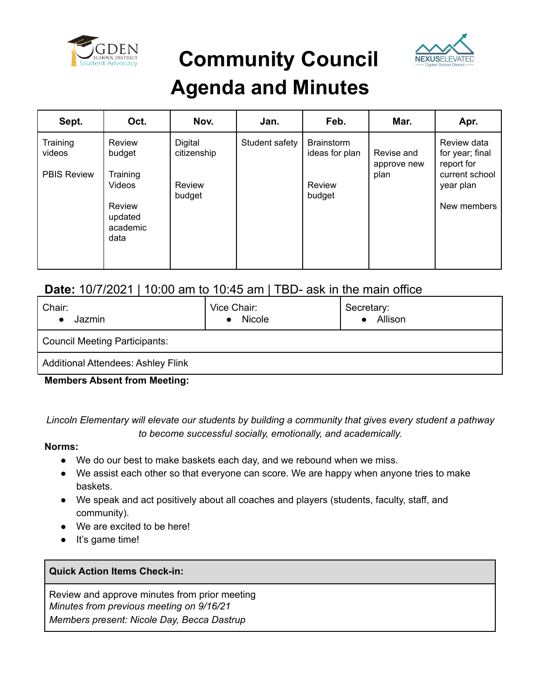

**Community Council**



### **Agenda and Minutes**

| Sept.                                    | Oct.                                            | Nov.                   | Jan.           | Feb.                                | Mar.                              | Apr.                                                           |
|------------------------------------------|-------------------------------------------------|------------------------|----------------|-------------------------------------|-----------------------------------|----------------------------------------------------------------|
| Training<br>videos<br><b>PBIS Review</b> | Review<br>budget<br>Training                    | Digital<br>citizenship | Student safety | <b>Brainstorm</b><br>ideas for plan | Revise and<br>approve new<br>plan | Review data<br>for year; final<br>report for<br>current school |
|                                          | Videos<br>Review<br>updated<br>academic<br>data | Review<br>budget       |                | Review<br>budget                    |                                   | year plan<br>New members                                       |

### **Date:** 10/7/2021 | 10:00 am to 10:45 am | TBD- ask in the main office

| Chair:<br>Jazmin                          | Vice Chair:<br>Nicole<br>$\bullet$ | Secretary:<br><b>Allison</b> |  |  |  |  |
|-------------------------------------------|------------------------------------|------------------------------|--|--|--|--|
| <b>Council Meeting Participants:</b>      |                                    |                              |  |  |  |  |
| <b>Additional Attendees: Ashley Flink</b> |                                    |                              |  |  |  |  |

**Members Absent from Meeting:**

*Lincoln Elementary will elevate our students by building a community that gives every student a pathway to become successful socially, emotionally, and academically.*

#### **Norms:**

- We do our best to make baskets each day, and we rebound when we miss.
- We assist each other so that everyone can score. We are happy when anyone tries to make baskets.
- We speak and act positively about all coaches and players (students, faculty, staff, and community).
- We are excited to be here!
- It's game time!

#### **Quick Action Items Check-in:**

Review and approve minutes from prior meeting *Minutes from previous meeting on 9/16/21 Members present: Nicole Day, Becca Dastrup*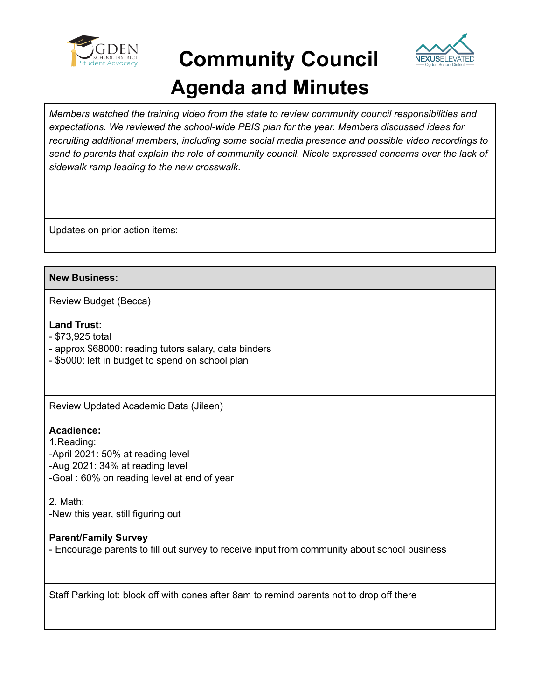

## **Community Council Agenda and Minutes**



*Members watched the training video from the state to review community council responsibilities and expectations. We reviewed the school-wide PBIS plan for the year. Members discussed ideas for recruiting additional members, including some social media presence and possible video recordings to send to parents that explain the role of community council. Nicole expressed concerns over the lack of sidewalk ramp leading to the new crosswalk.*

Updates on prior action items:

#### **New Business:**

Review Budget (Becca)

#### **Land Trust:**

- \$73,925 total
- approx \$68000: reading tutors salary, data binders
- \$5000: left in budget to spend on school plan

Review Updated Academic Data (Jileen)

#### **Acadience:**

1.Reading: -April 2021: 50% at reading level -Aug 2021: 34% at reading level -Goal : 60% on reading level at end of year

2. Math: -New this year, still figuring out

#### **Parent/Family Survey**

- Encourage parents to fill out survey to receive input from community about school business

Staff Parking lot: block off with cones after 8am to remind parents not to drop off there